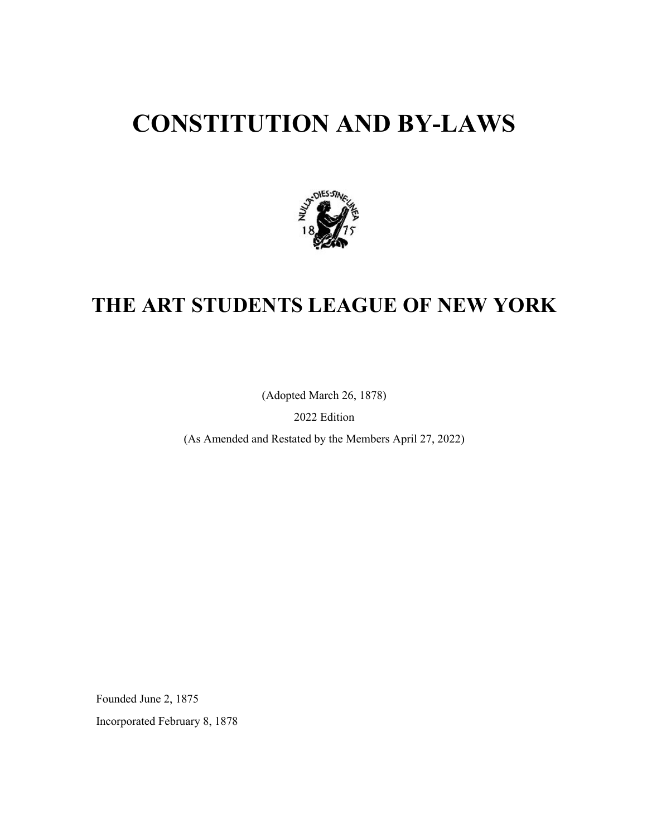# **CONSTITUTION AND BY-LAWS**



## **THE ART STUDENTS LEAGUE OF NEW YORK**

(Adopted March 26, 1878)

2022 Edition

(As Amended and Restated by the Members April 27, 2022)

Founded June 2, 1875

Incorporated February 8, 1878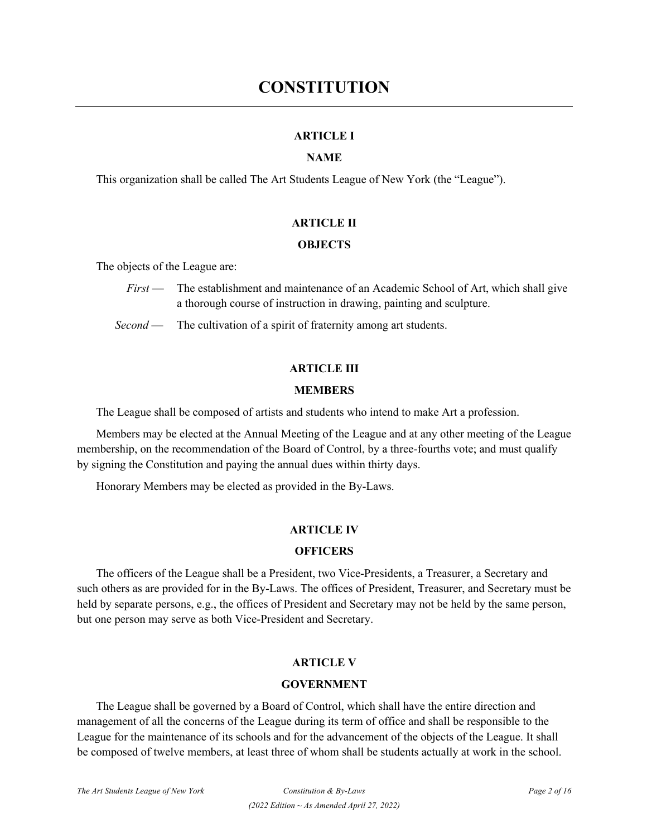## **ARTICLE I**

## **NAME**

This organization shall be called The Art Students League of New York (the "League").

## **ARTICLE II**

## **OBJECTS**

The objects of the League are:

 *First* — The establishment and maintenance of an Academic School of Art, which shall give a thorough course of instruction in drawing, painting and sculpture.

*Second* — The cultivation of a spirit of fraternity among art students.

## **ARTICLE III**

## **MEMBERS**

The League shall be composed of artists and students who intend to make Art a profession.

Members may be elected at the Annual Meeting of the League and at any other meeting of the League membership, on the recommendation of the Board of Control, by a three-fourths vote; and must qualify by signing the Constitution and paying the annual dues within thirty days.

Honorary Members may be elected as provided in the By-Laws.

## **ARTICLE IV**

## **OFFICERS**

The officers of the League shall be a President, two Vice-Presidents, a Treasurer, a Secretary and such others as are provided for in the By-Laws. The offices of President, Treasurer, and Secretary must be held by separate persons, e.g., the offices of President and Secretary may not be held by the same person, but one person may serve as both Vice-President and Secretary.

## **ARTICLE V**

## **GOVERNMENT**

The League shall be governed by a Board of Control, which shall have the entire direction and management of all the concerns of the League during its term of office and shall be responsible to the League for the maintenance of its schools and for the advancement of the objects of the League. It shall be composed of twelve members, at least three of whom shall be students actually at work in the school.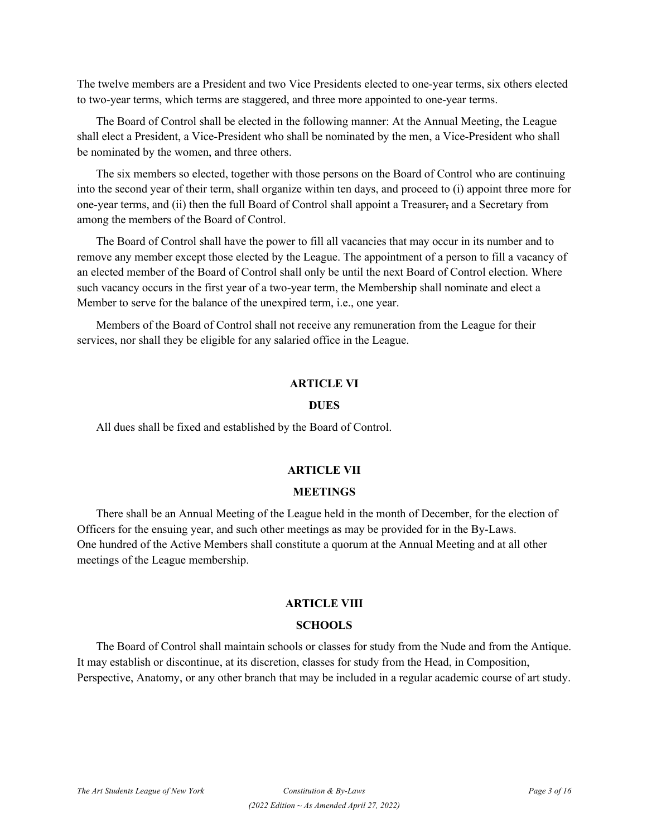The twelve members are a President and two Vice Presidents elected to one-year terms, six others elected to two-year terms, which terms are staggered, and three more appointed to one-year terms.

The Board of Control shall be elected in the following manner: At the Annual Meeting, the League shall elect a President, a Vice-President who shall be nominated by the men, a Vice-President who shall be nominated by the women, and three others.

The six members so elected, together with those persons on the Board of Control who are continuing into the second year of their term, shall organize within ten days, and proceed to (i) appoint three more for one-year terms, and (ii) then the full Board of Control shall appoint a Treasurer, and a Secretary from among the members of the Board of Control.

The Board of Control shall have the power to fill all vacancies that may occur in its number and to remove any member except those elected by the League. The appointment of a person to fill a vacancy of an elected member of the Board of Control shall only be until the next Board of Control election. Where such vacancy occurs in the first year of a two-year term, the Membership shall nominate and elect a Member to serve for the balance of the unexpired term, i.e., one year.

Members of the Board of Control shall not receive any remuneration from the League for their services, nor shall they be eligible for any salaried office in the League.

## **ARTICLE VI**

#### **DUES**

All dues shall be fixed and established by the Board of Control.

## **ARTICLE VII**

#### **MEETINGS**

There shall be an Annual Meeting of the League held in the month of December, for the election of Officers for the ensuing year, and such other meetings as may be provided for in the By-Laws. One hundred of the Active Members shall constitute a quorum at the Annual Meeting and at all other meetings of the League membership.

#### **ARTICLE VIII**

#### **SCHOOLS**

The Board of Control shall maintain schools or classes for study from the Nude and from the Antique. It may establish or discontinue, at its discretion, classes for study from the Head, in Composition, Perspective, Anatomy, or any other branch that may be included in a regular academic course of art study.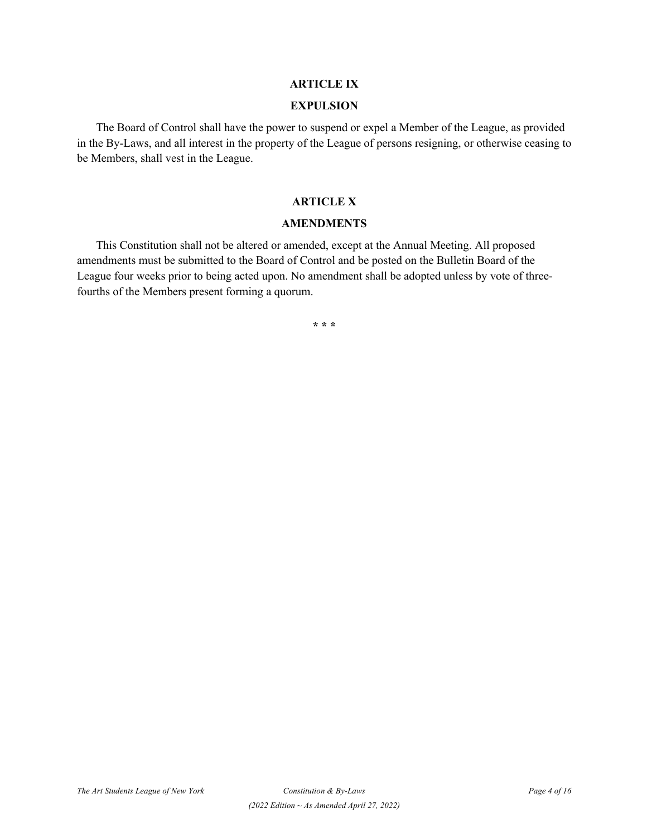## **ARTICLE IX**

#### **EXPULSION**

The Board of Control shall have the power to suspend or expel a Member of the League, as provided in the By-Laws, and all interest in the property of the League of persons resigning, or otherwise ceasing to be Members, shall vest in the League.

## **ARTICLE X**

#### **AMENDMENTS**

This Constitution shall not be altered or amended, except at the Annual Meeting. All proposed amendments must be submitted to the Board of Control and be posted on the Bulletin Board of the League four weeks prior to being acted upon. No amendment shall be adopted unless by vote of threefourths of the Members present forming a quorum.

**\* \* \***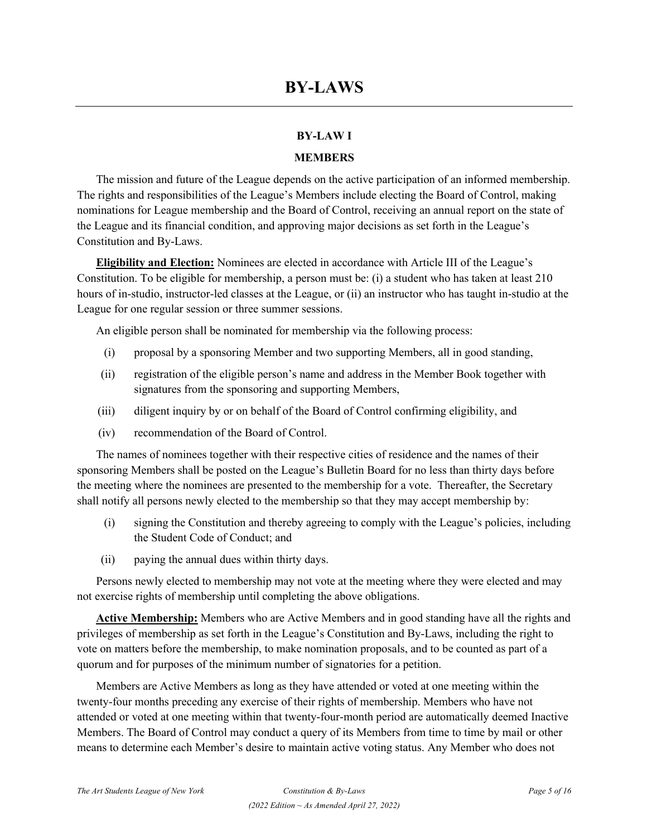## **BY-LAW I**

## **MEMBERS**

The mission and future of the League depends on the active participation of an informed membership. The rights and responsibilities of the League's Members include electing the Board of Control, making nominations for League membership and the Board of Control, receiving an annual report on the state of the League and its financial condition, and approving major decisions as set forth in the League's Constitution and By-Laws.

**Eligibility and Election:** Nominees are elected in accordance with Article III of the League's Constitution. To be eligible for membership, a person must be: (i) a student who has taken at least 210 hours of in-studio, instructor-led classes at the League, or (ii) an instructor who has taught in-studio at the League for one regular session or three summer sessions.

An eligible person shall be nominated for membership via the following process:

- (i) proposal by a sponsoring Member and two supporting Members, all in good standing,
- (ii) registration of the eligible person's name and address in the Member Book together with signatures from the sponsoring and supporting Members,
- (iii) diligent inquiry by or on behalf of the Board of Control confirming eligibility, and
- (iv) recommendation of the Board of Control.

The names of nominees together with their respective cities of residence and the names of their sponsoring Members shall be posted on the League's Bulletin Board for no less than thirty days before the meeting where the nominees are presented to the membership for a vote. Thereafter, the Secretary shall notify all persons newly elected to the membership so that they may accept membership by:

- (i) signing the Constitution and thereby agreeing to comply with the League's policies, including the Student Code of Conduct; and
- (ii) paying the annual dues within thirty days.

Persons newly elected to membership may not vote at the meeting where they were elected and may not exercise rights of membership until completing the above obligations.

**Active Membership:** Members who are Active Members and in good standing have all the rights and privileges of membership as set forth in the League's Constitution and By-Laws, including the right to vote on matters before the membership, to make nomination proposals, and to be counted as part of a quorum and for purposes of the minimum number of signatories for a petition.

Members are Active Members as long as they have attended or voted at one meeting within the twenty-four months preceding any exercise of their rights of membership. Members who have not attended or voted at one meeting within that twenty-four-month period are automatically deemed Inactive Members. The Board of Control may conduct a query of its Members from time to time by mail or other means to determine each Member's desire to maintain active voting status. Any Member who does not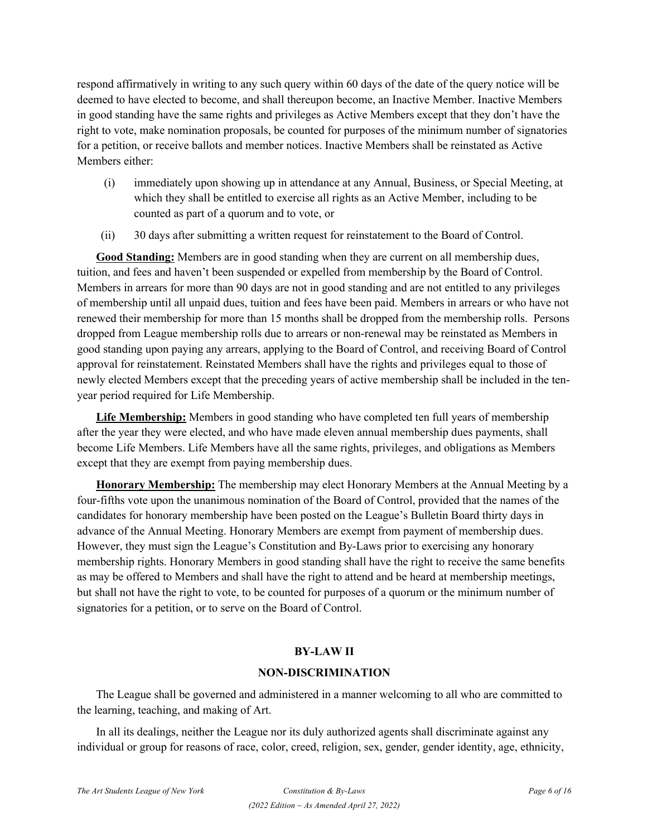respond affirmatively in writing to any such query within 60 days of the date of the query notice will be deemed to have elected to become, and shall thereupon become, an Inactive Member. Inactive Members in good standing have the same rights and privileges as Active Members except that they don't have the right to vote, make nomination proposals, be counted for purposes of the minimum number of signatories for a petition, or receive ballots and member notices. Inactive Members shall be reinstated as Active Members either:

- (i) immediately upon showing up in attendance at any Annual, Business, or Special Meeting, at which they shall be entitled to exercise all rights as an Active Member, including to be counted as part of a quorum and to vote, or
- (ii) 30 days after submitting a written request for reinstatement to the Board of Control.

**Good Standing:** Members are in good standing when they are current on all membership dues, tuition, and fees and haven't been suspended or expelled from membership by the Board of Control. Members in arrears for more than 90 days are not in good standing and are not entitled to any privileges of membership until all unpaid dues, tuition and fees have been paid. Members in arrears or who have not renewed their membership for more than 15 months shall be dropped from the membership rolls. Persons dropped from League membership rolls due to arrears or non-renewal may be reinstated as Members in good standing upon paying any arrears, applying to the Board of Control, and receiving Board of Control approval for reinstatement. Reinstated Members shall have the rights and privileges equal to those of newly elected Members except that the preceding years of active membership shall be included in the tenyear period required for Life Membership.

**Life Membership:** Members in good standing who have completed ten full years of membership after the year they were elected, and who have made eleven annual membership dues payments, shall become Life Members. Life Members have all the same rights, privileges, and obligations as Members except that they are exempt from paying membership dues.

**Honorary Membership:** The membership may elect Honorary Members at the Annual Meeting by a four-fifths vote upon the unanimous nomination of the Board of Control, provided that the names of the candidates for honorary membership have been posted on the League's Bulletin Board thirty days in advance of the Annual Meeting. Honorary Members are exempt from payment of membership dues. However, they must sign the League's Constitution and By-Laws prior to exercising any honorary membership rights. Honorary Members in good standing shall have the right to receive the same benefits as may be offered to Members and shall have the right to attend and be heard at membership meetings, but shall not have the right to vote, to be counted for purposes of a quorum or the minimum number of signatories for a petition, or to serve on the Board of Control.

## **BY-LAW II**

#### **NON-DISCRIMINATION**

The League shall be governed and administered in a manner welcoming to all who are committed to the learning, teaching, and making of Art.

In all its dealings, neither the League nor its duly authorized agents shall discriminate against any individual or group for reasons of race, color, creed, religion, sex, gender, gender identity, age, ethnicity,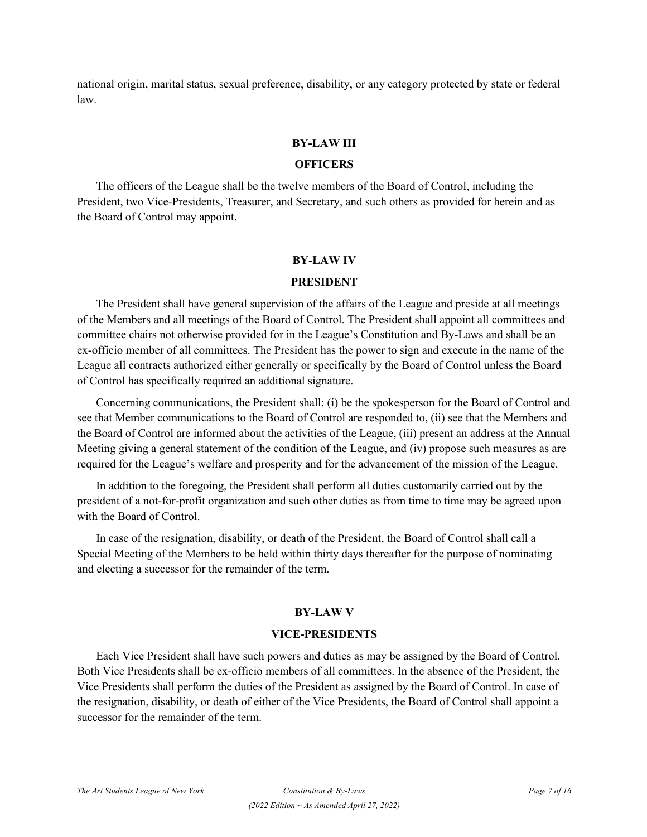national origin, marital status, sexual preference, disability, or any category protected by state or federal law.

#### **BY-LAW III**

## **OFFICERS**

The officers of the League shall be the twelve members of the Board of Control, including the President, two Vice-Presidents, Treasurer, and Secretary, and such others as provided for herein and as the Board of Control may appoint.

#### **BY-LAW IV**

#### **PRESIDENT**

The President shall have general supervision of the affairs of the League and preside at all meetings of the Members and all meetings of the Board of Control. The President shall appoint all committees and committee chairs not otherwise provided for in the League's Constitution and By-Laws and shall be an ex-officio member of all committees. The President has the power to sign and execute in the name of the League all contracts authorized either generally or specifically by the Board of Control unless the Board of Control has specifically required an additional signature.

Concerning communications, the President shall: (i) be the spokesperson for the Board of Control and see that Member communications to the Board of Control are responded to, (ii) see that the Members and the Board of Control are informed about the activities of the League, (iii) present an address at the Annual Meeting giving a general statement of the condition of the League, and (iv) propose such measures as are required for the League's welfare and prosperity and for the advancement of the mission of the League.

In addition to the foregoing, the President shall perform all duties customarily carried out by the president of a not-for-profit organization and such other duties as from time to time may be agreed upon with the Board of Control.

In case of the resignation, disability, or death of the President, the Board of Control shall call a Special Meeting of the Members to be held within thirty days thereafter for the purpose of nominating and electing a successor for the remainder of the term.

## **BY-LAW V**

#### **VICE-PRESIDENTS**

Each Vice President shall have such powers and duties as may be assigned by the Board of Control. Both Vice Presidents shall be ex-officio members of all committees. In the absence of the President, the Vice Presidents shall perform the duties of the President as assigned by the Board of Control. In case of the resignation, disability, or death of either of the Vice Presidents, the Board of Control shall appoint a successor for the remainder of the term.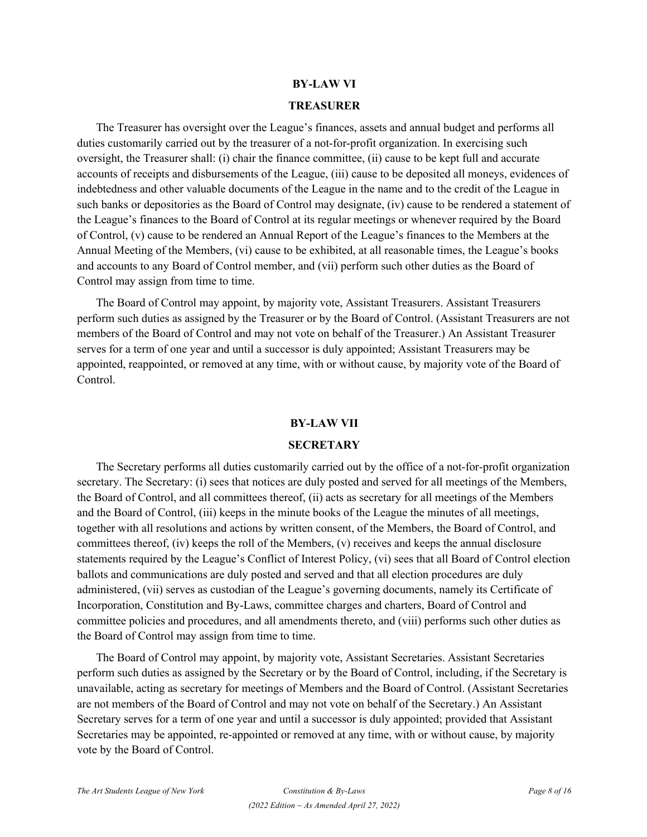#### **BY-LAW VI**

#### **TREASURER**

The Treasurer has oversight over the League's finances, assets and annual budget and performs all duties customarily carried out by the treasurer of a not-for-profit organization. In exercising such oversight, the Treasurer shall: (i) chair the finance committee, (ii) cause to be kept full and accurate accounts of receipts and disbursements of the League, (iii) cause to be deposited all moneys, evidences of indebtedness and other valuable documents of the League in the name and to the credit of the League in such banks or depositories as the Board of Control may designate, (iv) cause to be rendered a statement of the League's finances to the Board of Control at its regular meetings or whenever required by the Board of Control, (v) cause to be rendered an Annual Report of the League's finances to the Members at the Annual Meeting of the Members, (vi) cause to be exhibited, at all reasonable times, the League's books and accounts to any Board of Control member, and (vii) perform such other duties as the Board of Control may assign from time to time.

The Board of Control may appoint, by majority vote, Assistant Treasurers. Assistant Treasurers perform such duties as assigned by the Treasurer or by the Board of Control. (Assistant Treasurers are not members of the Board of Control and may not vote on behalf of the Treasurer.) An Assistant Treasurer serves for a term of one year and until a successor is duly appointed; Assistant Treasurers may be appointed, reappointed, or removed at any time, with or without cause, by majority vote of the Board of Control.

#### **BY-LAW VII**

#### **SECRETARY**

The Secretary performs all duties customarily carried out by the office of a not-for-profit organization secretary. The Secretary: (i) sees that notices are duly posted and served for all meetings of the Members, the Board of Control, and all committees thereof, (ii) acts as secretary for all meetings of the Members and the Board of Control, (iii) keeps in the minute books of the League the minutes of all meetings, together with all resolutions and actions by written consent, of the Members, the Board of Control, and committees thereof, (iv) keeps the roll of the Members, (v) receives and keeps the annual disclosure statements required by the League's Conflict of Interest Policy, (vi) sees that all Board of Control election ballots and communications are duly posted and served and that all election procedures are duly administered, (vii) serves as custodian of the League's governing documents, namely its Certificate of Incorporation, Constitution and By-Laws, committee charges and charters, Board of Control and committee policies and procedures, and all amendments thereto, and (viii) performs such other duties as the Board of Control may assign from time to time.

The Board of Control may appoint, by majority vote, Assistant Secretaries. Assistant Secretaries perform such duties as assigned by the Secretary or by the Board of Control, including, if the Secretary is unavailable, acting as secretary for meetings of Members and the Board of Control. (Assistant Secretaries are not members of the Board of Control and may not vote on behalf of the Secretary.) An Assistant Secretary serves for a term of one year and until a successor is duly appointed; provided that Assistant Secretaries may be appointed, re-appointed or removed at any time, with or without cause, by majority vote by the Board of Control.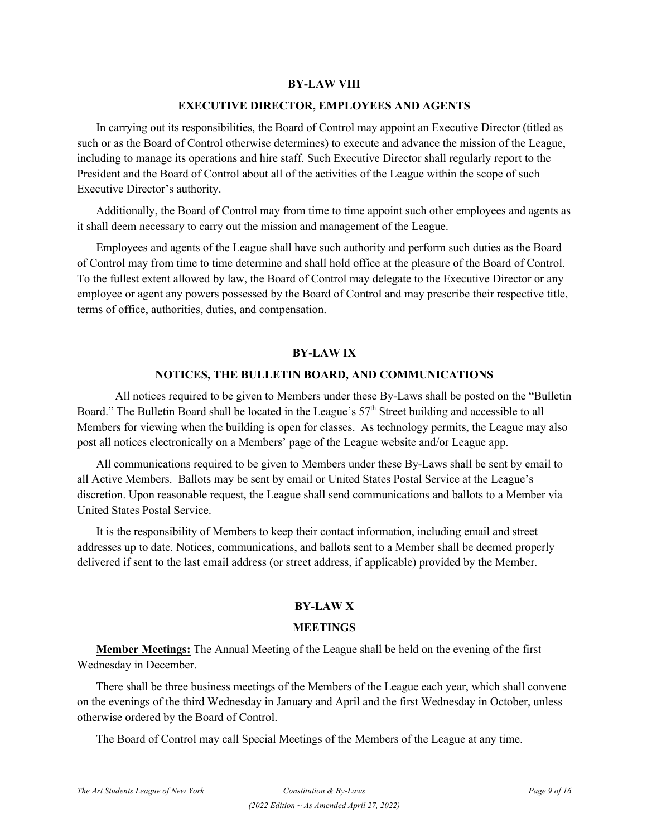#### **BY-LAW VIII**

#### **EXECUTIVE DIRECTOR, EMPLOYEES AND AGENTS**

In carrying out its responsibilities, the Board of Control may appoint an Executive Director (titled as such or as the Board of Control otherwise determines) to execute and advance the mission of the League, including to manage its operations and hire staff. Such Executive Director shall regularly report to the President and the Board of Control about all of the activities of the League within the scope of such Executive Director's authority.

Additionally, the Board of Control may from time to time appoint such other employees and agents as it shall deem necessary to carry out the mission and management of the League.

Employees and agents of the League shall have such authority and perform such duties as the Board of Control may from time to time determine and shall hold office at the pleasure of the Board of Control. To the fullest extent allowed by law, the Board of Control may delegate to the Executive Director or any employee or agent any powers possessed by the Board of Control and may prescribe their respective title, terms of office, authorities, duties, and compensation.

#### **BY-LAW IX**

#### **NOTICES, THE BULLETIN BOARD, AND COMMUNICATIONS**

All notices required to be given to Members under these By-Laws shall be posted on the "Bulletin Board." The Bulletin Board shall be located in the League's 57<sup>th</sup> Street building and accessible to all Members for viewing when the building is open for classes. As technology permits, the League may also post all notices electronically on a Members' page of the League website and/or League app.

All communications required to be given to Members under these By-Laws shall be sent by email to all Active Members. Ballots may be sent by email or United States Postal Service at the League's discretion. Upon reasonable request, the League shall send communications and ballots to a Member via United States Postal Service.

It is the responsibility of Members to keep their contact information, including email and street addresses up to date. Notices, communications, and ballots sent to a Member shall be deemed properly delivered if sent to the last email address (or street address, if applicable) provided by the Member.

## **BY-LAW X**

### **MEETINGS**

**Member Meetings:** The Annual Meeting of the League shall be held on the evening of the first Wednesday in December.

There shall be three business meetings of the Members of the League each year, which shall convene on the evenings of the third Wednesday in January and April and the first Wednesday in October, unless otherwise ordered by the Board of Control.

The Board of Control may call Special Meetings of the Members of the League at any time.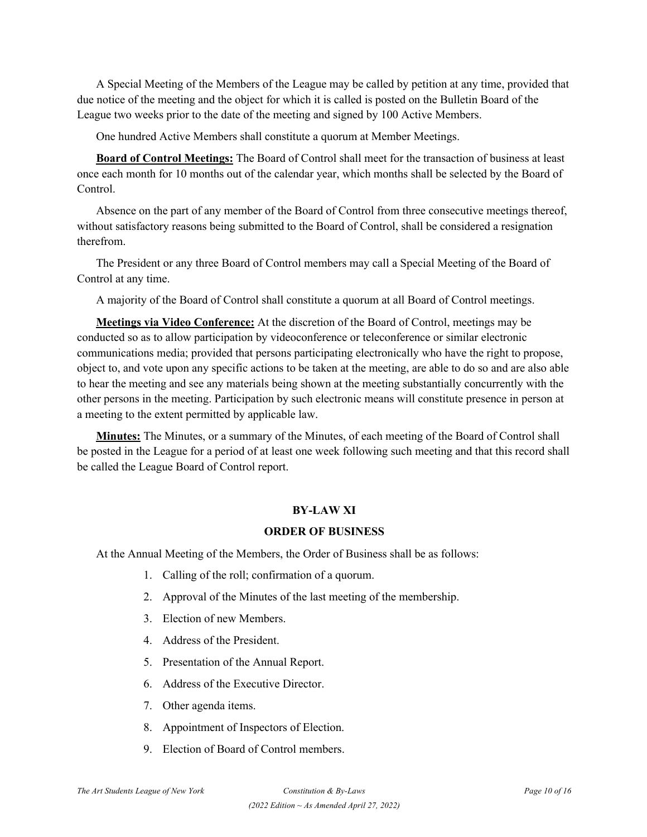A Special Meeting of the Members of the League may be called by petition at any time, provided that due notice of the meeting and the object for which it is called is posted on the Bulletin Board of the League two weeks prior to the date of the meeting and signed by 100 Active Members.

One hundred Active Members shall constitute a quorum at Member Meetings.

**Board of Control Meetings:** The Board of Control shall meet for the transaction of business at least once each month for 10 months out of the calendar year, which months shall be selected by the Board of Control.

Absence on the part of any member of the Board of Control from three consecutive meetings thereof, without satisfactory reasons being submitted to the Board of Control, shall be considered a resignation therefrom.

The President or any three Board of Control members may call a Special Meeting of the Board of Control at any time.

A majority of the Board of Control shall constitute a quorum at all Board of Control meetings.

**Meetings via Video Conference:** At the discretion of the Board of Control, meetings may be conducted so as to allow participation by videoconference or teleconference or similar electronic communications media; provided that persons participating electronically who have the right to propose, object to, and vote upon any specific actions to be taken at the meeting, are able to do so and are also able to hear the meeting and see any materials being shown at the meeting substantially concurrently with the other persons in the meeting. Participation by such electronic means will constitute presence in person at a meeting to the extent permitted by applicable law.

**Minutes:** The Minutes, or a summary of the Minutes, of each meeting of the Board of Control shall be posted in the League for a period of at least one week following such meeting and that this record shall be called the League Board of Control report.

## **BY-LAW XI**

## **ORDER OF BUSINESS**

At the Annual Meeting of the Members, the Order of Business shall be as follows:

- 1. Calling of the roll; confirmation of a quorum.
- 2. Approval of the Minutes of the last meeting of the membership.
- 3. Election of new Members.
- 4. Address of the President.
- 5. Presentation of the Annual Report.
- 6. Address of the Executive Director.
- 7. Other agenda items.
- 8. Appointment of Inspectors of Election.
- 9. Election of Board of Control members.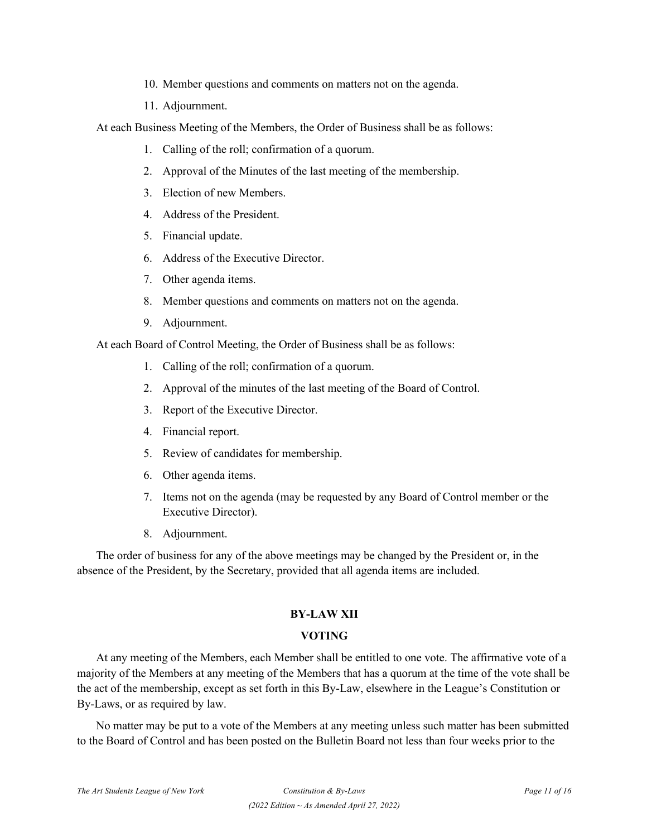10. Member questions and comments on matters not on the agenda.

11. Adjournment.

At each Business Meeting of the Members, the Order of Business shall be as follows:

- 1. Calling of the roll; confirmation of a quorum.
- 2. Approval of the Minutes of the last meeting of the membership.
- 3. Election of new Members.
- 4. Address of the President.
- 5. Financial update.
- 6. Address of the Executive Director.
- 7. Other agenda items.
- 8. Member questions and comments on matters not on the agenda.
- 9. Adjournment.

At each Board of Control Meeting, the Order of Business shall be as follows:

- 1. Calling of the roll; confirmation of a quorum.
- 2. Approval of the minutes of the last meeting of the Board of Control.
- 3. Report of the Executive Director.
- 4. Financial report.
- 5. Review of candidates for membership.
- 6. Other agenda items.
- 7. Items not on the agenda (may be requested by any Board of Control member or the Executive Director).
- 8. Adjournment.

The order of business for any of the above meetings may be changed by the President or, in the absence of the President, by the Secretary, provided that all agenda items are included.

## **BY-LAW XII**

#### **VOTING**

At any meeting of the Members, each Member shall be entitled to one vote. The affirmative vote of a majority of the Members at any meeting of the Members that has a quorum at the time of the vote shall be the act of the membership, except as set forth in this By-Law, elsewhere in the League's Constitution or By-Laws, or as required by law.

No matter may be put to a vote of the Members at any meeting unless such matter has been submitted to the Board of Control and has been posted on the Bulletin Board not less than four weeks prior to the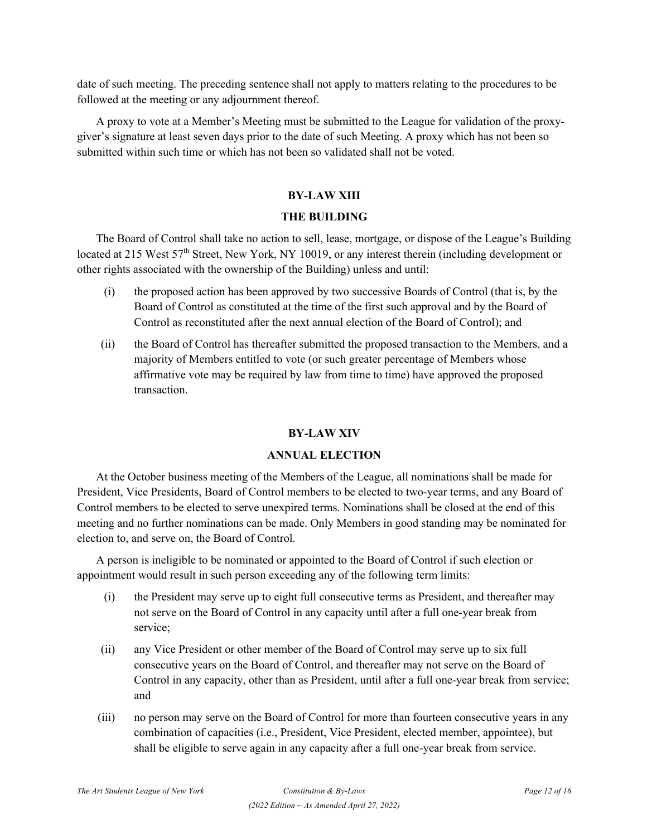date of such meeting. The preceding sentence shall not apply to matters relating to the procedures to be followed at the meeting or any adjournment thereof.

A proxy to vote at a Member's Meeting must be submitted to the League for validation of the proxygiver's signature at least seven days prior to the date of such Meeting. A proxy which has not been so submitted within such time or which has not been so validated shall not be voted.

### **BY-LAW XIII**

#### **THE BUILDING**

The Board of Control shall take no action to sell, lease, mortgage, or dispose of the League's Building located at 215 West 57<sup>th</sup> Street, New York, NY 10019, or any interest therein (including development or other rights associated with the ownership of the Building) unless and until:

- (i) the proposed action has been approved by two successive Boards of Control (that is, by the Board of Control as constituted at the time of the first such approval and by the Board of Control as reconstituted after the next annual election of the Board of Control); and
- (ii) the Board of Control has thereafter submitted the proposed transaction to the Members, and a majority of Members entitled to vote (or such greater percentage of Members whose affirmative vote may be required by law from time to time) have approved the proposed transaction.

#### **BY-LAW XIV**

#### **ANNUAL ELECTION**

At the October business meeting of the Members of the League, all nominations shall be made for President, Vice Presidents, Board of Control members to be elected to two-year terms, and any Board of Control members to be elected to serve unexpired terms. Nominations shall be closed at the end of this meeting and no further nominations can be made. Only Members in good standing may be nominated for election to, and serve on, the Board of Control.

A person is ineligible to be nominated or appointed to the Board of Control if such election or appointment would result in such person exceeding any of the following term limits:

- (i) the President may serve up to eight full consecutive terms as President, and thereafter may not serve on the Board of Control in any capacity until after a full one-year break from service;
- (ii) any Vice President or other member of the Board of Control may serve up to six full consecutive years on the Board of Control, and thereafter may not serve on the Board of Control in any capacity, other than as President, until after a full one-year break from service; and
- (iii) no person may serve on the Board of Control for more than fourteen consecutive years in any combination of capacities (i.e., President, Vice President, elected member, appointee), but shall be eligible to serve again in any capacity after a full one-year break from service.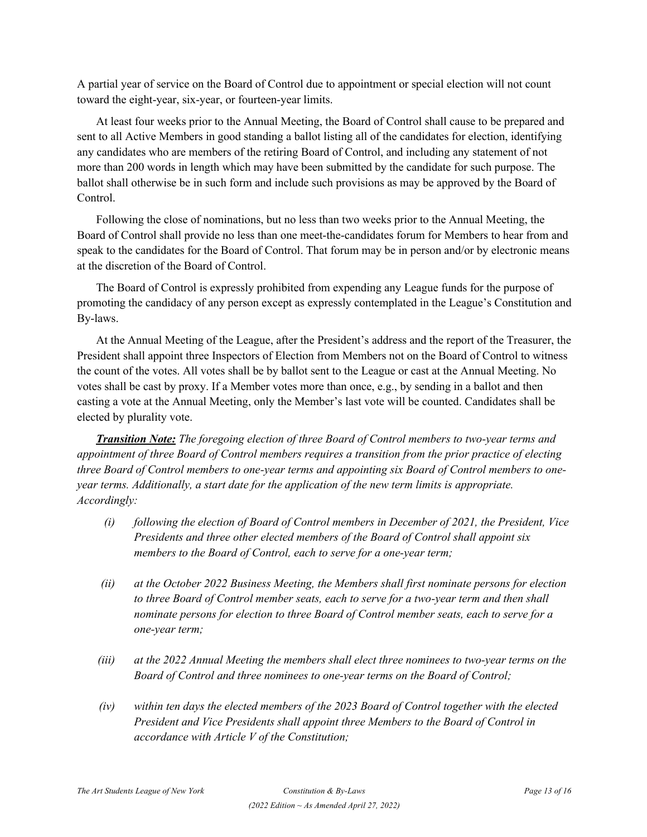A partial year of service on the Board of Control due to appointment or special election will not count toward the eight-year, six-year, or fourteen-year limits.

At least four weeks prior to the Annual Meeting, the Board of Control shall cause to be prepared and sent to all Active Members in good standing a ballot listing all of the candidates for election, identifying any candidates who are members of the retiring Board of Control, and including any statement of not more than 200 words in length which may have been submitted by the candidate for such purpose. The ballot shall otherwise be in such form and include such provisions as may be approved by the Board of Control.

Following the close of nominations, but no less than two weeks prior to the Annual Meeting, the Board of Control shall provide no less than one meet-the-candidates forum for Members to hear from and speak to the candidates for the Board of Control. That forum may be in person and/or by electronic means at the discretion of the Board of Control.

The Board of Control is expressly prohibited from expending any League funds for the purpose of promoting the candidacy of any person except as expressly contemplated in the League's Constitution and By-laws.

At the Annual Meeting of the League, after the President's address and the report of the Treasurer, the President shall appoint three Inspectors of Election from Members not on the Board of Control to witness the count of the votes. All votes shall be by ballot sent to the League or cast at the Annual Meeting. No votes shall be cast by proxy. If a Member votes more than once, e.g., by sending in a ballot and then casting a vote at the Annual Meeting, only the Member's last vote will be counted. Candidates shall be elected by plurality vote.

*Transition Note: The foregoing election of three Board of Control members to two-year terms and appointment of three Board of Control members requires a transition from the prior practice of electing three Board of Control members to one-year terms and appointing six Board of Control members to oneyear terms. Additionally, a start date for the application of the new term limits is appropriate. Accordingly:* 

- *(i) following the election of Board of Control members in December of 2021, the President, Vice Presidents and three other elected members of the Board of Control shall appoint six members to the Board of Control, each to serve for a one-year term;*
- *(ii) at the October 2022 Business Meeting, the Members shall first nominate persons for election to three Board of Control member seats, each to serve for a two-year term and then shall nominate persons for election to three Board of Control member seats, each to serve for a one-year term;*
- *(iii) at the 2022 Annual Meeting the members shall elect three nominees to two-year terms on the Board of Control and three nominees to one-year terms on the Board of Control;*
- *(iv) within ten days the elected members of the 2023 Board of Control together with the elected President and Vice Presidents shall appoint three Members to the Board of Control in accordance with Article V of the Constitution;*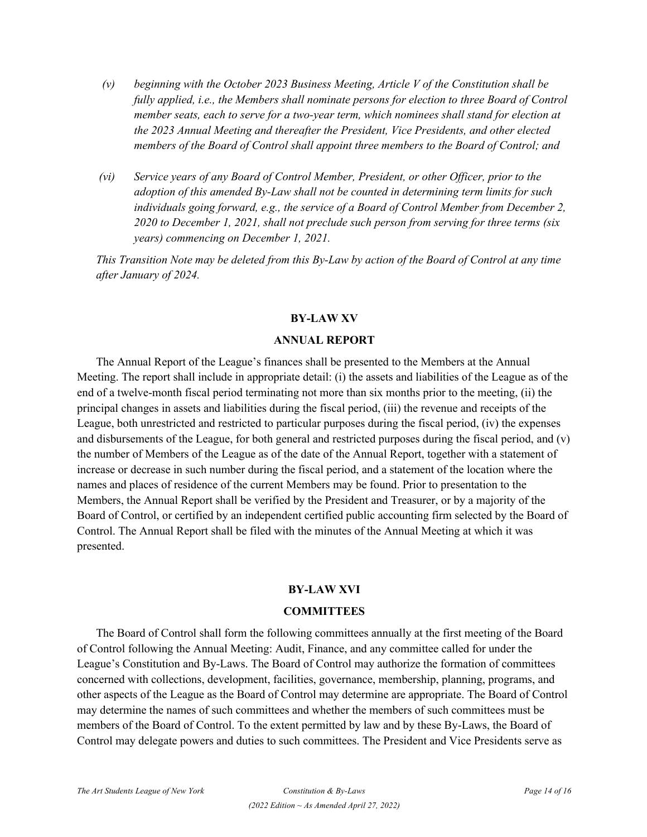- *(v) beginning with the October 2023 Business Meeting, Article V of the Constitution shall be fully applied, i.e., the Members shall nominate persons for election to three Board of Control member seats, each to serve for a two-year term, which nominees shall stand for election at the 2023 Annual Meeting and thereafter the President, Vice Presidents, and other elected members of the Board of Control shall appoint three members to the Board of Control; and*
- *(vi) Service years of any Board of Control Member, President, or other Officer, prior to the adoption of this amended By-Law shall not be counted in determining term limits for such individuals going forward, e.g., the service of a Board of Control Member from December 2, 2020 to December 1, 2021, shall not preclude such person from serving for three terms (six years) commencing on December 1, 2021.*

*This Transition Note may be deleted from this By-Law by action of the Board of Control at any time after January of 2024.*

## **BY-LAW XV**

## **ANNUAL REPORT**

The Annual Report of the League's finances shall be presented to the Members at the Annual Meeting. The report shall include in appropriate detail: (i) the assets and liabilities of the League as of the end of a twelve-month fiscal period terminating not more than six months prior to the meeting, (ii) the principal changes in assets and liabilities during the fiscal period, (iii) the revenue and receipts of the League, both unrestricted and restricted to particular purposes during the fiscal period, (iv) the expenses and disbursements of the League, for both general and restricted purposes during the fiscal period, and (v) the number of Members of the League as of the date of the Annual Report, together with a statement of increase or decrease in such number during the fiscal period, and a statement of the location where the names and places of residence of the current Members may be found. Prior to presentation to the Members, the Annual Report shall be verified by the President and Treasurer, or by a majority of the Board of Control, or certified by an independent certified public accounting firm selected by the Board of Control. The Annual Report shall be filed with the minutes of the Annual Meeting at which it was presented.

## **BY-LAW XVI**

## **COMMITTEES**

The Board of Control shall form the following committees annually at the first meeting of the Board of Control following the Annual Meeting: Audit, Finance, and any committee called for under the League's Constitution and By-Laws. The Board of Control may authorize the formation of committees concerned with collections, development, facilities, governance, membership, planning, programs, and other aspects of the League as the Board of Control may determine are appropriate. The Board of Control may determine the names of such committees and whether the members of such committees must be members of the Board of Control. To the extent permitted by law and by these By-Laws, the Board of Control may delegate powers and duties to such committees. The President and Vice Presidents serve as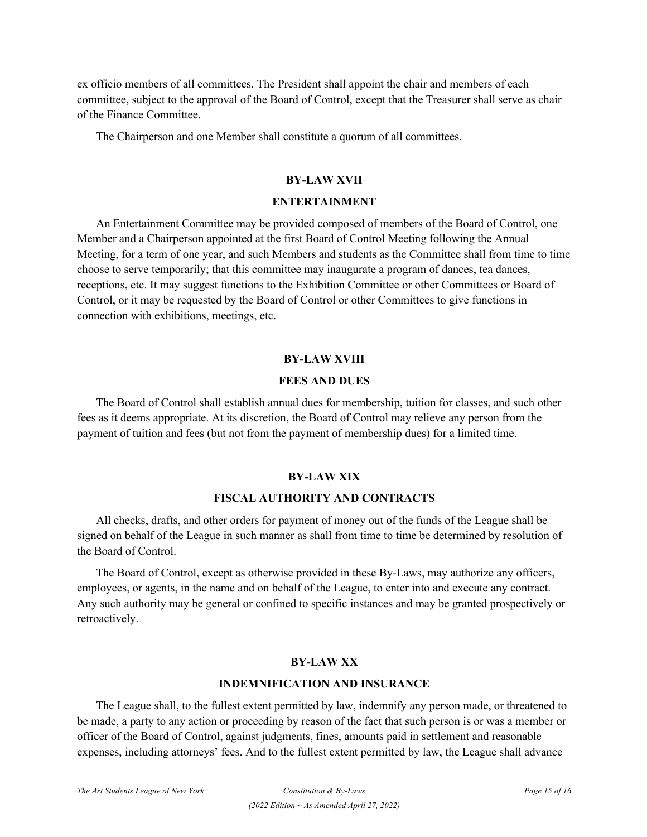ex officio members of all committees. The President shall appoint the chair and members of each committee, subject to the approval of the Board of Control, except that the Treasurer shall serve as chair of the Finance Committee.

The Chairperson and one Member shall constitute a quorum of all committees.

## **BY-LAW XVII**

#### **ENTERTAINMENT**

An Entertainment Committee may be provided composed of members of the Board of Control, one Member and a Chairperson appointed at the first Board of Control Meeting following the Annual Meeting, for a term of one year, and such Members and students as the Committee shall from time to time choose to serve temporarily; that this committee may inaugurate a program of dances, tea dances, receptions, etc. It may suggest functions to the Exhibition Committee or other Committees or Board of Control, or it may be requested by the Board of Control or other Committees to give functions in connection with exhibitions, meetings, etc.

#### **BY-LAW XVIII**

#### **FEES AND DUES**

The Board of Control shall establish annual dues for membership, tuition for classes, and such other fees as it deems appropriate. At its discretion, the Board of Control may relieve any person from the payment of tuition and fees (but not from the payment of membership dues) for a limited time.

## **BY-LAW XIX**

## **FISCAL AUTHORITY AND CONTRACTS**

All checks, drafts, and other orders for payment of money out of the funds of the League shall be signed on behalf of the League in such manner as shall from time to time be determined by resolution of the Board of Control.

The Board of Control, except as otherwise provided in these By-Laws, may authorize any officers, employees, or agents, in the name and on behalf of the League, to enter into and execute any contract. Any such authority may be general or confined to specific instances and may be granted prospectively or retroactively.

## **BY-LAW XX**

#### **INDEMNIFICATION AND INSURANCE**

The League shall, to the fullest extent permitted by law, indemnify any person made, or threatened to be made, a party to any action or proceeding by reason of the fact that such person is or was a member or officer of the Board of Control, against judgments, fines, amounts paid in settlement and reasonable expenses, including attorneys' fees. And to the fullest extent permitted by law, the League shall advance